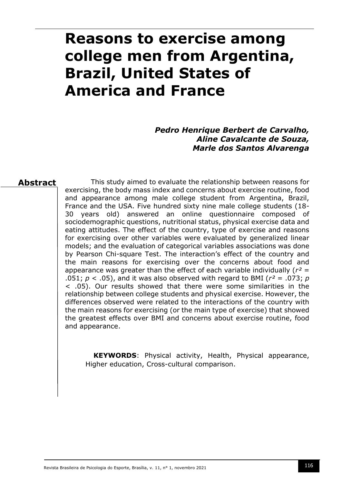# **Reasons to exercise among college men from Argentina, Brazil, United States of America and France**

*Pedro Henrique Berbert de Carvalho, Aline Cavalcante de Souza, Marle dos Santos Alvarenga*

## **Abstract**

This study aimed to evaluate the relationship between reasons for exercising, the body mass index and concerns about exercise routine, food and appearance among male college student from Argentina, Brazil, France and the USA. Five hundred sixty nine male college students (18- 30 years old) answered an online questionnaire composed of sociodemographic questions, nutritional status, physical exercise data and eating attitudes. The effect of the country, type of exercise and reasons for exercising over other variables were evaluated by generalized linear models; and the evaluation of categorical variables associations was done by Pearson Chi-square Test. The interaction's effect of the country and the main reasons for exercising over the concerns about food and appearance was greater than the effect of each variable individually (*r²* = .051;  $p < .05$ ), and it was also observed with regard to BMI ( $r^2 = .073$ ;  $p$ < .05). Our results showed that there were some similarities in the relationship between college students and physical exercise. However, the differences observed were related to the interactions of the country with the main reasons for exercising (or the main type of exercise) that showed the greatest effects over BMI and concerns about exercise routine, food and appearance.

**KEYWORDS**: Physical activity, Health, Physical appearance, Higher education, Cross-cultural comparison.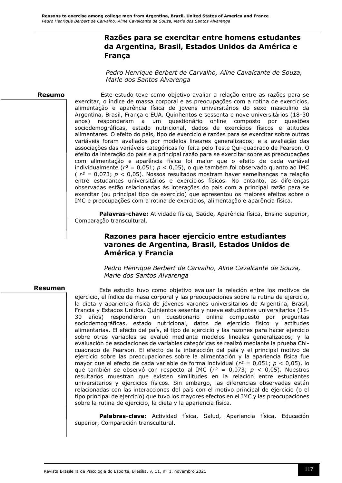# **Razões para se exercitar entre homens estudantes da Argentina, Brasil, Estados Unidos da América e França**

*Pedro Henrique Berbert de Carvalho, Aline Cavalcante de Souza, Marle dos Santos Alvarenga*

#### **Resumo**

Este estudo teve como objetivo avaliar a relação entre as razões para se exercitar, o índice de massa corporal e as preocupações com a rotina de exercícios, alimentação e aparência física de jovens universitários do sexo masculino da Argentina, Brasil, França e EUA. Quinhentos e sessenta e nove universitários (18-30 anos) responderam a um questionário online composto por questões sociodemográficas, estado nutricional, dados de exercícios físicos e atitudes alimentares. O efeito do país, tipo de exercício e razões para se exercitar sobre outras variáveis foram avaliados por modelos lineares generalizados; e a avaliação das associações das variáveis categóricas foi feita pelo Teste Qui-quadrado de Pearson. O efeito da interação do país e a principal razão para se exercitar sobre as preocupações com alimentação e aparência física foi maior que o efeito de cada variável individualmente (*r²* = 0,051; *p* < 0,05), o que também foi observado quanto ao IMC ( *r²* = 0,073; *p* < 0,05). Nossos resultados mostram haver semelhanças na relação entre estudantes universitários e exercícios físicos. No entanto, as diferenças observadas estão relacionadas às interações do país com a principal razão para se exercitar (ou principal tipo de exercício) que apresentou os maiores efeitos sobre o IMC e preocupações com a rotina de exercícios, alimentação e aparência física.

**Palavras-chave:** Atividade física, Saúde, Aparência física, Ensino superior, Comparação transcultural.

## **Razones para hacer ejercicio entre estudiantes varones de Argentina, Brasil, Estados Unidos de América y Francia**

*Pedro Henrique Berbert de Carvalho, Aline Cavalcante de Souza, Marle dos Santos Alvarenga* 

#### **Resumen**

Este estudio tuvo como objetivo evaluar la relación entre los motivos de ejercicio, el índice de masa corporal y las preocupaciones sobre la rutina de ejercicio, la dieta y apariencia fisica de jóvenes varones universitarios de Argentina, Brasil, Francia y Estados Unidos. Quinientos sesenta y nueve estudiantes universitarios (18- 30 años) respondieron un cuestionario online compuesto por preguntas sociodemográficas, estado nutricional, datos de ejercicio físico y actitudes alimentarias. El efecto del país, el tipo de ejercicio y las razones para hacer ejercicio sobre otras variables se evaluó mediante modelos lineales generalizados; y la evaluación de asociaciones de variables categóricas se realizó mediante la prueba Chicuadrado de Pearson. El efecto de la interacción del país y el principal motivo de ejercicio sobre las preocupaciones sobre la alimentación y la apariencia física fue mayor que el efecto de cada variable de forma individual (*r²* = 0,051; *p* < 0,05), lo que también se observó con respecto al IMC (*r²* = 0,073; *p* < 0,05). Nuestros resultados muestran que existen similitudes en la relación entre estudiantes universitarios y ejercicios físicos. Sin embargo, las diferencias observadas están relacionadas con las interacciones del país con el motivo principal de ejercicio (o el tipo principal de ejercicio) que tuvo los mayores efectos en el IMC y las preocupaciones sobre la rutina de ejercicio, la dieta y la apariencia física.

**Palabras-clave:** Actividad física, Salud, Apariencia física, Educación superior, Comparación transcultural.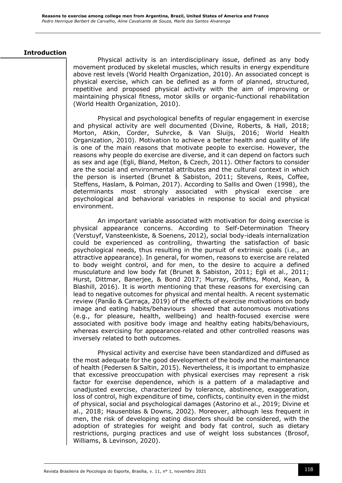#### **Introduction**

Physical activity is an interdisciplinary issue, defined as any body movement produced by skeletal muscles, which results in energy expenditure above rest levels (World Health Organization, 2010). An associated concept is physical exercise, which can be defined as a form of planned, structured, repetitive and proposed physical activity with the aim of improving or maintaining physical fitness, motor skills or organic-functional rehabilitation (World Health Organization, 2010).

Physical and psychological benefits of regular engagement in exercise and physical activity are well documented (Divine, Roberts, & Hall, 2018; Morton, Atkin, Corder, Suhrcke, & Van Sluijs, 2016; World Health Organization, 2010). Motivation to achieve a better health and quality of life is one of the main reasons that motivate people to exercise. However, the reasons why people do exercise are diverse, and it can depend on factors such as sex and age (Egli, Bland, Melton, & Czech, 2011). Other factors to consider are the social and environmental attributes and the cultural context in which the person is inserted (Brunet & Sabiston, 2011; Stevens, Rees, Coffee, Steffens, Haslam, & Polman, 2017). According to Sallis and Owen (1998), the determinants most strongly associated with physical exercise are psychological and behavioral variables in response to social and physical environment.

An important variable associated with motivation for doing exercise is physical appearance concerns. According to Self-Determination Theory (Verstuyf, Vansteenkiste, & Soenens, 2012), social body-ideals internalization could be experienced as controlling, thwarting the satisfaction of basic psychological needs, thus resulting in the pursuit of extrinsic goals (i.e., an attractive appearance). In general, for women, reasons to exercise are related to body weight control, and for men, to the desire to acquire a defined musculature and low body fat (Brunet & Sabiston, 2011; Egli et al., 2011; Hurst, Dittmar, Banerjee, & Bond 2017; Murray, Griffiths, Mond, Kean, & Blashill, 2016). It is worth mentioning that these reasons for exercising can lead to negative outcomes for physical and mental health. A recent systematic review (Panão & Carraça, 2019) of the effects of exercise motivations on body image and eating habits/behaviours showed that autonomous motivations (e.g., for pleasure, health, wellbeing) and health‐focused exercise were associated with positive body image and healthy eating habits/behaviours, whereas exercising for appearance-related and other controlled reasons was inversely related to both outcomes.

Physical activity and exercise have been standardized and diffused as the most adequate for the good development of the body and the maintenance of health (Pedersen & Saltin, 2015). Nevertheless, it is important to emphasize that excessive preoccupation with physical exercises may represent a risk factor for exercise dependence, which is a pattern of a maladaptive and unadjusted exercise, characterized by tolerance, abstinence, exaggeration, loss of control, high expenditure of time, conflicts, continuity even in the midst of physical, social and psychological damages (Astorino et al., 2019; Divine et al., 2018; Hausenblas & Downs, 2002). Moreover, although less frequent in men, the risk of developing eating disorders should be considered, with the adoption of strategies for weight and body fat control, such as dietary restrictions, purging practices and use of weight loss substances (Brosof, Williams, & Levinson, 2020).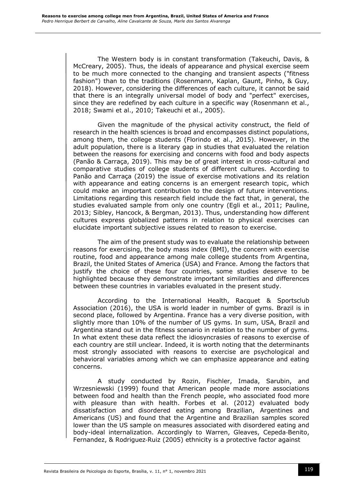The Western body is in constant transformation (Takeuchi, Davis, & McCreary, 2005). Thus, the ideals of appearance and physical exercise seem to be much more connected to the changing and transient aspects ("fitness fashion") than to the traditions (Rosenmann, Kaplan, Gaunt, Pinho, & Guy, 2018). However, considering the differences of each culture, it cannot be said that there is an integrally universal model of body and "perfect" exercises, since they are redefined by each culture in a specific way (Rosenmann et al., 2018; Swami et al., 2010; Takeuchi et al., 2005).

Given the magnitude of the physical activity construct, the field of research in the health sciences is broad and encompasses distinct populations, among them, the college students (Florindo et al., 2015). However, in the adult population, there is a literary gap in studies that evaluated the relation between the reasons for exercising and concerns with food and body aspects (Panão & Carraça, 2019). This may be of great interest in cross-cultural and comparative studies of college students of different cultures. According to Panão and Carraça (2019) the issue of exercise motivations and its relation with appearance and eating concerns is an emergent research topic, which could make an important contribution to the design of future interventions. Limitations regarding this research field include the fact that, in general, the studies evaluated sample from only one country (Egli et al., 2011; Pauline, 2013; Sibley, Hancock, & Bergman, 2013). Thus, understanding how different cultures express globalized patterns in relation to physical exercises can elucidate important subjective issues related to reason to exercise.

The aim of the present study was to evaluate the relationship between reasons for exercising, the body mass index (BMI), the concern with exercise routine, food and appearance among male college students from Argentina, Brazil, the United States of America (USA) and France. Among the factors that justify the choice of these four countries, some studies deserve to be highlighted because they demonstrate important similarities and differences between these countries in variables evaluated in the present study.

According to the International Health, Racquet & Sportsclub Association (2016), the USA is world leader in number of gyms. Brazil is in second place, followed by Argentina. France has a very diverse position, with slightly more than 10% of the number of US gyms. In sum, USA, Brazil and Argentina stand out in the fitness scenario in relation to the number of gyms. In what extent these data reflect the idiosyncrasies of reasons to exercise of each country are still unclear. Indeed, it is worth noting that the determinants most strongly associated with reasons to exercise are psychological and behavioral variables among which we can emphasize appearance and eating concerns.

A study conducted by Rozin, Fischler, Imada, Sarubin, and Wrzesniewski (1999) found that American people made more associations between food and health than the French people, who associated food more with pleasure than with health. Forbes et al. (2012) evaluated body dissatisfaction and disordered eating among Brazilian, Argentines and Americans (US) and found that the Argentine and Brazilian samples scored lower than the US sample on measures associated with disordered eating and body-ideal internalization. Accordingly to Warren, Gleaves, Cepeda‐Benito, Fernandez, & Rodriguez‐Ruiz (2005) ethnicity is a protective factor against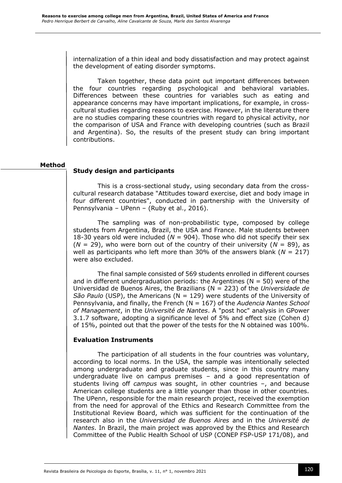internalization of a thin ideal and body dissatisfaction and may protect against the development of eating disorder symptoms.

Taken together, these data point out important differences between the four countries regarding psychological and behavioral variables. Differences between these countries for variables such as eating and appearance concerns may have important implications, for example, in crosscultural studies regarding reasons to exercise. However, in the literature there are no studies comparing these countries with regard to physical activity, nor the comparison of USA and France with developing countries (such as Brazil and Argentina). So, the results of the present study can bring important contributions.

#### **Method**

## **Study design and participants**

This is a cross-sectional study, using secondary data from the crosscultural research database "Attitudes toward exercise, diet and body image in four different countries", conducted in partnership with the University of Pennsylvania – UPenn – (Ruby et al., 2016).

The sampling was of non-probabilistic type, composed by college students from Argentina, Brazil, the USA and France. Male students between 18-30 years old were included (*N* = 904). Those who did not specify their sex  $(N = 29)$ , who were born out of the country of their university  $(N = 89)$ , as well as participants who left more than 30% of the answers blank (*N* = 217) were also excluded.

The final sample consisted of 569 students enrolled in different courses and in different undergraduation periods: the Argentines ( $N = 50$ ) were of the Universidad de Buenos Aires, the Brazilians (N = 223) of the *Universidade de São Paulo* (USP), the Americans (N = 129) were students of the University of Pennsylvania, and finally, the French (N = 167) of the *Audencia Nantes School of Management*, in the *Université de Nantes*. A "post hoc" analysis in GPower 3.1.7 software, adopting a significance level of 5% and effect size (Cohen d) of 15%, pointed out that the power of the tests for the N obtained was 100%.

## **Evaluation Instruments**

The participation of all students in the four countries was voluntary, according to local norms. In the USA, the sample was intentionally selected among undergraduate and graduate students, since in this country many undergraduate live on campus premises – and a good representation of students living off *campus* was sought, in other countries –, and because American college students are a little younger than those in other countries. The UPenn, responsible for the main research project, received the exemption from the need for approval of the Ethics and Research Committee from the Institutional Review Board, which was sufficient for the continuation of the research also in the *Universidad de Buenos Aires* and in the *Université de Nantes*. In Brazil, the main project was approved by the Ethics and Research Committee of the Public Health School of USP (CONEP FSP-USP 171/08), and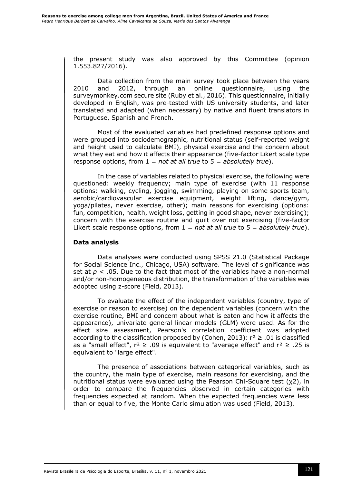the present study was also approved by this Committee (opinion 1.553.827/2016).

Data collection from the main survey took place between the years 2010 and 2012, through an online questionnaire, using the surveymonkey.com secure site (Ruby et al., 2016). This questionnaire, initially developed in English, was pre-tested with US university students, and later translated and adapted (when necessary) by native and fluent translators in Portuguese, Spanish and French.

Most of the evaluated variables had predefined response options and were grouped into sociodemographic, nutritional status (self-reported weight and height used to calculate BMI), physical exercise and the concern about what they eat and how it affects their appearance (five-factor Likert scale type response options, from 1 = *not at all true* to 5 = *absolutely true*).

In the case of variables related to physical exercise, the following were questioned: weekly frequency; main type of exercise (with 11 response options: walking, cycling, jogging, swimming, playing on some sports team, aerobic/cardiovascular exercise equipment, weight lifting, dance/gym, yoga/pilates, never exercise, other); main reasons for exercising (options: fun, competition, health, weight loss, getting in good shape, never exercising); concern with the exercise routine and guilt over not exercising (five-factor Likert scale response options, from 1 = *not at all true* to 5 = *absolutely true*).

## **Data analysis**

Data analyses were conducted using SPSS 21.0 (Statistical Package for Social Science Inc., Chicago, USA) software. The level of significance was set at  $p < 0.05$ . Due to the fact that most of the variables have a non-normal and/or non-homogeneous distribution, the transformation of the variables was adopted using z-score (Field, 2013).

To evaluate the effect of the independent variables (country, type of exercise or reason to exercise) on the dependent variables (concern with the exercise routine, BMI and concern about what is eaten and how it affects the appearance), univariate general linear models (GLM) were used. As for the effect size assessment, Pearson's correlation coefficient was adopted according to the classification proposed by (Cohen, 2013):  $r^2 \ge 0.01$  is classified as a "small effect",  $r^2 \ge 0.09$  is equivalent to "average effect" and  $r^2 \ge 0.25$  is equivalent to "large effect".

The presence of associations between categorical variables, such as the country, the main type of exercise, main reasons for exercising, and the nutritional status were evaluated using the Pearson Chi-Square test (χ2), in order to compare the frequencies observed in certain categories with frequencies expected at random. When the expected frequencies were less than or equal to five, the Monte Carlo simulation was used (Field, 2013).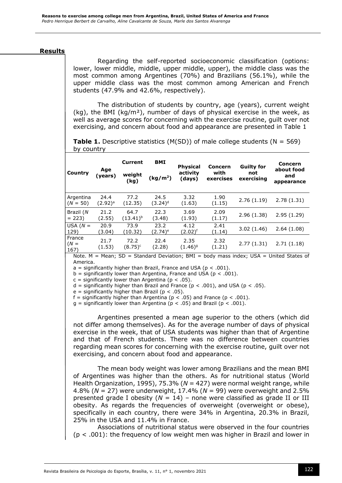## **Results**

Regarding the self-reported socioeconomic classification (options: lower, lower middle, middle, upper middle, upper), the middle class was the most common among Argentines (70%) and Brazilians (56.1%), while the upper middle class was the most common among American and French students (47.9% and 42.6%, respectively).

The distribution of students by country, age (years), current weight (kg), the BMI (kg/m<sup>2</sup>), number of days of physical exercise in the week, as well as average scores for concerning with the exercise routine, guilt over not exercising, and concern about food and appearance are presented in Table 1

**Table 1.** Descriptive statistics (M(SD)) of male college students (N = 569) by country

| Country                  | Age<br>(vears)       | <b>Current</b><br>weight<br>(kg) | <b>BMI</b><br>(kg/m <sup>2</sup> ) | <b>Physical</b><br>activity<br>(days) | <b>Concern</b><br>with<br>exercises | <b>Guilty for</b><br>not<br>exercising | Concern<br>about food<br>and<br>appearance |
|--------------------------|----------------------|----------------------------------|------------------------------------|---------------------------------------|-------------------------------------|----------------------------------------|--------------------------------------------|
| Argentina<br>$(N = 50)$  | 24.4<br>$(2.92)^{a}$ | 77.2<br>(12.35)                  | 24.5<br>$(3.24)^d$                 | 3.32<br>(1.63)                        | 1.90<br>(1.15)                      | 2.76(1.19)                             | 2.78(1.31)                                 |
| Brazil (N<br>$= 223$     | 21.2<br>(2.55)       | 64.7<br>$(13.41)^{b}$            | 22.3<br>(3.48)                     | 3.69<br>(1.93)                        | 2.09<br>(1.17)                      | 2.96(1.38)                             | 2.95(1.29)                                 |
| USA $(N =$<br>129)       | 20.9<br>(3.04)       | 73.9<br>(10.32)                  | 23.2<br>(2.74) <sup>e</sup>        | 4.12<br>(2.02) <sup>f</sup>           | 2.41<br>(1.14)                      | 3.02(1.46)                             | 2.64(1.08)                                 |
| France<br>$(N =$<br>167) | 21.7<br>(1.53)       | 72.2<br>$(8.75)^c$               | 22.4<br>(2.28)                     | 2.35<br>$(1.46)^{9}$                  | 2.32<br>(1.21)                      | 2.77(1.31)                             | 2.71(1.18)                                 |

Note.  $M = Mean$ ; SD = Standard Deviation; BMI = body mass index; USA = United States of America.

 $a =$  significantly higher than Brazil, France and USA ( $p < .001$ ).

 $b =$  significantly lower than Argentina, France and USA ( $p < .001$ ).

 $c =$  significantly lower than Argentina ( $p < .05$ ).

d = significantly higher than Brazil and France ( $p < .001$ ), and USA ( $p < .05$ ).

 $e =$  significantly higher than Brazil ( $p < .05$ ).

f = significantly higher than Argentina ( $p < .05$ ) and France ( $p < .001$ ).

g = significantly lower than Argentina ( $p < .05$ ) and Brazil ( $p < .001$ ).

Argentines presented a mean age superior to the others (which did not differ among themselves). As for the average number of days of physical exercise in the week, that of USA students was higher than that of Argentine and that of French students. There was no difference between countries regarding mean scores for concerning with the exercise routine, guilt over not exercising, and concern about food and appearance.

The mean body weight was lower among Brazilians and the mean BMI of Argentines was higher than the others. As for nutritional status (World Health Organization, 1995), 75.3% (*N* = 427) were normal weight range, while 4.8% (*N* = 27) were underweight, 17.4% (*N* = 99) were overweight and 2.5% presented grade I obesity (*N* = 14) – none were classified as grade II or III obesity. As regards the frequencies of overweight (overweight or obese), specifically in each country, there were 34% in Argentina, 20.3% in Brazil, 25% in the USA and 11.4% in France.

Associations of nutritional status were observed in the four countries  $(p < .001)$ : the frequency of low weight men was higher in Brazil and lower in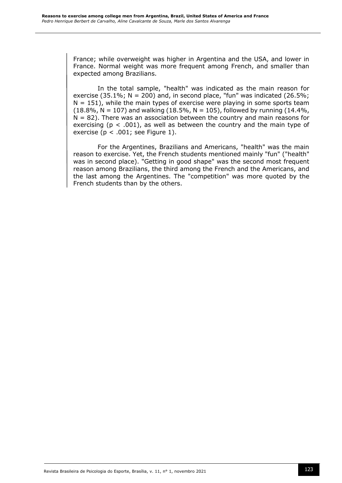France; while overweight was higher in Argentina and the USA, and lower in France. Normal weight was more frequent among French, and smaller than expected among Brazilians.

In the total sample, "health" was indicated as the main reason for exercise (35.1%;  $N = 200$ ) and, in second place, "fun" was indicated (26.5%;  $N = 151$ , while the main types of exercise were playing in some sports team (18.8%,  $N = 107$ ) and walking (18.5%,  $N = 105$ ), followed by running (14.4%,  $N = 82$ ). There was an association between the country and main reasons for exercising ( $p < .001$ ), as well as between the country and the main type of exercise ( $p < .001$ ; see Figure 1).

For the Argentines, Brazilians and Americans, "health" was the main reason to exercise. Yet, the French students mentioned mainly "fun" ("health" was in second place). "Getting in good shape" was the second most frequent reason among Brazilians, the third among the French and the Americans, and the last among the Argentines. The "competition" was more quoted by the French students than by the others.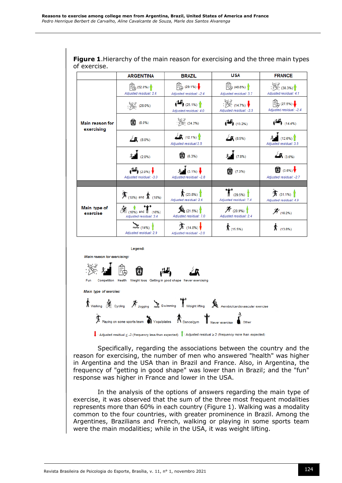|                               | <b>ARGENTINA</b>                                      | <b>BRAZIL</b>                                                                       | <b>USA</b>                                         | <b>FRANCE</b>                                                             |
|-------------------------------|-------------------------------------------------------|-------------------------------------------------------------------------------------|----------------------------------------------------|---------------------------------------------------------------------------|
|                               | $\mathbb{R}^{3}$ (52.0%)<br>Adjusted residual: 2.6    | $\begin{bmatrix} 2 & 29.1\% \\ 4 & 29.1\% \end{bmatrix}$<br>Adjusted residual: -2.4 | $\mathbb{R}$ (48.8%)<br>Adjusted residual: 3.7     | $\frac{1}{2}$ (38.3%)<br>Adjusted residual: 4.1                           |
|                               | $\frac{1}{2}$ (28.0%)                                 | $\leftarrow$ (25.1%)<br>Adjusted residual: 4.0                                      | $\frac{1}{2}$ (14.7%)<br>Adjusted residual: -3.5   | $\begin{bmatrix} 2 \\ 1 \end{bmatrix}$ (27.5%)<br>Adiusted residual: -2.4 |
| Main reason for<br>exercising | $(8.0\%)$                                             | $\sqrt[3]{}$ (24.2%)                                                                | $\left( \frac{11}{13.2\%}\right)$                  | $\left  \frac{11}{1} \right _{(14.4\%)}$                                  |
|                               | <b>A</b> (8.0%)                                       | <b>A</b> (12.1%)<br>Adjusted residual:2.5                                           | 20(8.5%)                                           | (12.6%)<br>Adiusted residual: 3.5                                         |
|                               | $\mathbf{\hat{X}}$ (2.0%)                             | $(6.3\%)$                                                                           | 大 (7.8%)                                           | 20(3.6%)                                                                  |
|                               | $\frac{1}{2}$ (2.0%)<br>Adjusted residual: -3.0       | $\hat{X}$ (3.1%) $\frac{1}{2}$<br>Adjusted residual: -2.8                           | (7.0%)                                             | $\bigcirc$ (3.6%)<br>Adjusted residual: -2.7                              |
|                               |                                                       |                                                                                     |                                                    |                                                                           |
|                               | $\mathbf{\hat{F}}$ (18%) and $\mathbf{\hat{F}}$ (18%) | $\hat{\mathbf{R}}$ (23.8%)<br>Adjusted residual: 2.6                                | $\sum_{(29.5\%)}$<br>Adjusted residual: 7.4        | $\frac{1}{2}$ (31.1%)<br>Adjusted residual: 4.9                           |
| Main type of<br>exercise      | 36 (16%) and 1 (16%)<br>Adjusted residual: 3.4        | (21.5%)<br>Adjusted residual: 7.0                                                   | $\mathcal{F}_{(20.9\%)}$<br>Adjusted residual: 2.4 | $\mathcal{F}_{(16.2\%)}$                                                  |
|                               | $\approx$ (14%)<br>Adjusted residual: 2.9             | $\frac{1}{2}$ (14.8%)<br>Adjusted residual: -2.0                                    | $\frac{1}{2}$ (15.5%)                              | $\sqrt{\pi}$ (13.8%)                                                      |

**Figure 1**.Hierarchy of the main reason for exercising and the three main types of exercise.

Main reason for exercising. k) Competition Health Weight loss Getting in good shape Never Main type of exercise:  $\hbar$  Walking  $\hat{\mathcal{R}}$  Cycling  $\hat{\mathcal{R}}$  Jogging  $\sum$  Swimming  $\prod_{\text{Weight lifting}}$ Aerobic/cardiovascular exercise

Legend:



Specifically, regarding the associations between the country and the reason for exercising, the number of men who answered "health" was higher in Argentina and the USA than in Brazil and France. Also, in Argentina, the frequency of "getting in good shape" was lower than in Brazil; and the "fun" response was higher in France and lower in the USA.

In the analysis of the options of answers regarding the main type of exercise, it was observed that the sum of the three most frequent modalities represents more than 60% in each country (Figure 1). Walking was a modality common to the four countries, with greater prominence in Brazil. Among the Argentines, Brazilians and French, walking or playing in some sports team were the main modalities; while in the USA, it was weight lifting.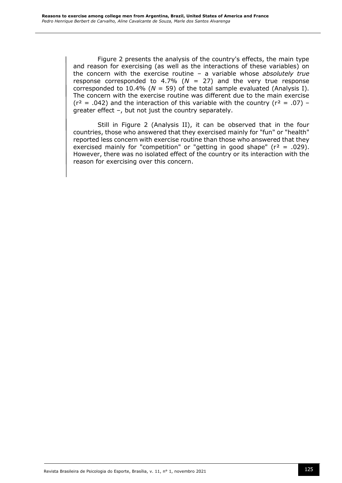Figure 2 presents the analysis of the country's effects, the main type and reason for exercising (as well as the interactions of these variables) on the concern with the exercise routine – a variable whose *absolutely true* response corresponded to 4.7% ( $N = 27$ ) and the very true response corresponded to 10.4% ( $N = 59$ ) of the total sample evaluated (Analysis I). The concern with the exercise routine was different due to the main exercise  $(r^2 = .042)$  and the interaction of this variable with the country  $(r^2 = .07)$  – greater effect –, but not just the country separately.

Still in Figure 2 (Analysis II), it can be observed that in the four countries, those who answered that they exercised mainly for "fun" or "health" reported less concern with exercise routine than those who answered that they exercised mainly for "competition" or "getting in good shape" ( $r^2 = .029$ ). However, there was no isolated effect of the country or its interaction with the reason for exercising over this concern.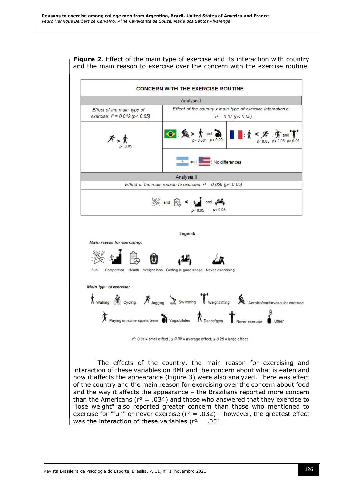## **Figure 2**. Effect of the main type of exercise and its interaction with country and the main reason to exercise over the concern with the exercise routine.



of the country and the main reason for exercising over the concern about food and the way it affects the appearance – the Brazilians reported more concern than the Americans ( $r^2$  = .034) and those who answered that they exercise to "lose weight" also reported greater concern than those who mentioned to exercise for "fun" or never exercise ( $r^2$  = .032) – however, the greatest effect was the interaction of these variables ( $r^2$  = .051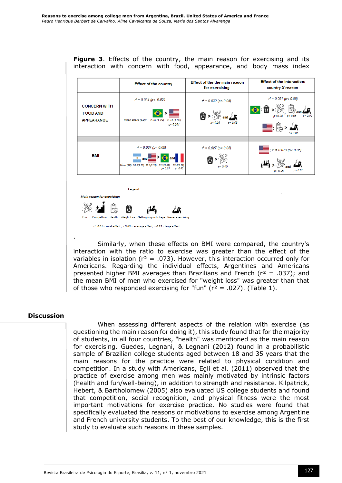**Figure 3**. Effects of the country, the main reason for exercising and its interaction with concern with food, appearance, and body mass index

|                                                             | <b>Effect of the country</b>                                                                                                                                    | Effect of the the main reason<br>for exercising | <b>Effect of the interaction:</b><br>country X reason           |
|-------------------------------------------------------------|-----------------------------------------------------------------------------------------------------------------------------------------------------------------|-------------------------------------------------|-----------------------------------------------------------------|
| <b>CONCERN WITH</b><br><b>FOOD AND</b><br><b>APPEARANCE</b> | $r^2 = 0.034$ (p < 0.001)<br>Mean score (SD):<br>2.95(1.29)<br>2.64(1.08)<br>p < 0.001                                                                          | $r^2 = 0.032$ (p < 0.05)<br>p< 0.05<br>p < 0.05 | $r^2 = 0.051$ (p < 0.05)<br>$\bigodot$ : $\hat{v}$ ><br>n< 0.05 |
|                                                             |                                                                                                                                                                 |                                                 |                                                                 |
| <b>BMI</b>                                                  | $r^2 = 0.037$ (p < 0.05)<br>and<br>Mean (SD): 24.5(3.22) 23.2(2.74)<br>22.3(3.48)<br>22.4(2.28)<br>p < 0.05<br>p < 0.05                                         | $r^2 = 0.027$ (p < 0.05)<br>p < 0.05            | $r^2 = 0.073 (p < 0.05)$<br>p < 0.05<br>p < 0.05                |
| <b>Main reason for exercising:</b>                          | Legend:                                                                                                                                                         |                                                 |                                                                 |
| Fun                                                         | Competition Health Weight loss Getting in good shape Never exercising<br>$r^2$ : 0.01 = small effect ; $\geq 0.09$ = average effect; $\geq 0.25$ = large effect |                                                 |                                                                 |

. Similarly, when these effects on BMI were compared, the country's interaction with the ratio to exercise was greater than the effect of the variables in isolation ( $r^2 = .073$ ). However, this interaction occurred only for Americans. Regarding the individual effects, Argentines and Americans presented higher BMI averages than Brazilians and French ( $r^2$  = .037); and the mean BMI of men who exercised for "weight loss" was greater than that of those who responded exercising for "fun" ( $r^2$  = .027). (Table 1).

## **Discussion**

When assessing different aspects of the relation with exercise (as questioning the main reason for doing it), this study found that for the majority of students, in all four countries, "health" was mentioned as the main reason for exercising. Guedes, Legnani, & Legnani (2012) found in a probabilistic sample of Brazilian college students aged between 18 and 35 years that the main reasons for the practice were related to physical condition and competition. In a study with Americans, Egli et al. (2011) observed that the practice of exercise among men was mainly motivated by intrinsic factors (health and fun/well-being), in addition to strength and resistance. Kilpatrick, Hebert, & Bartholomew (2005) also evaluated US college students and found that competition, social recognition, and physical fitness were the most important motivations for exercise practice. No studies were found that specifically evaluated the reasons or motivations to exercise among Argentine and French university students. To the best of our knowledge, this is the first study to evaluate such reasons in these samples.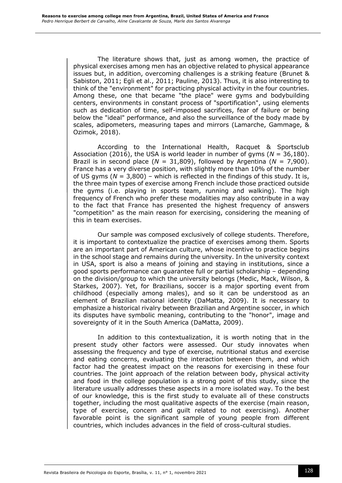The literature shows that, just as among women, the practice of physical exercises among men has an objective related to physical appearance issues but, in addition, overcoming challenges is a striking feature (Brunet & Sabiston, 2011; Egli et al., 2011; Pauline, 2013). Thus, it is also interesting to think of the "environment" for practicing physical activity in the four countries. Among these, one that became "the place" were gyms and bodybuilding centers, environments in constant process of "sportification", using elements such as dedication of time, self-imposed sacrifices, fear of failure or being below the "ideal" performance, and also the surveillance of the body made by scales, adipometers, measuring tapes and mirrors (Lamarche, Gammage, & Ozimok, 2018).

According to the International Health, Racquet & Sportsclub Association (2016), the USA is world leader in number of gyms (*N* = 36,180). Brazil is in second place  $(N = 31,809)$ , followed by Argentina  $(N = 7,900)$ . France has a very diverse position, with slightly more than 10% of the number of US gyms (*N* = 3,800) – which is reflected in the findings of this study. It is, the three main types of exercise among French include those practiced outside the gyms (i.e. playing in sports team, running and walking). The high frequency of French who prefer these modalities may also contribute in a way to the fact that France has presented the highest frequency of answers "competition" as the main reason for exercising, considering the meaning of this in team exercises.

Our sample was composed exclusively of college students. Therefore, it is important to contextualize the practice of exercises among them. Sports are an important part of American culture, whose incentive to practice begins in the school stage and remains during the university. In the university context in USA, sport is also a means of joining and staying in institutions, since a good sports performance can guarantee full or partial scholarship – depending on the division/group to which the university belongs (Medic, Mack, Wilson, & Starkes, 2007). Yet, for Brazilians, soccer is a major sporting event from childhood (especially among males), and so it can be understood as an element of Brazilian national identity (DaMatta, 2009). It is necessary to emphasize a historical rivalry between Brazilian and Argentine soccer, in which its disputes have symbolic meaning, contributing to the "honor", image and sovereignty of it in the South America (DaMatta, 2009).

In addition to this contextualization, it is worth noting that in the present study other factors were assessed. Our study innovates when assessing the frequency and type of exercise, nutritional status and exercise and eating concerns, evaluating the interaction between them, and which factor had the greatest impact on the reasons for exercising in these four countries. The joint approach of the relation between body, physical activity and food in the college population is a strong point of this study, since the literature usually addresses these aspects in a more isolated way. To the best of our knowledge, this is the first study to evaluate all of these constructs together, including the most qualitative aspects of the exercise (main reason, type of exercise, concern and guilt related to not exercising). Another favorable point is the significant sample of young people from different countries, which includes advances in the field of cross-cultural studies.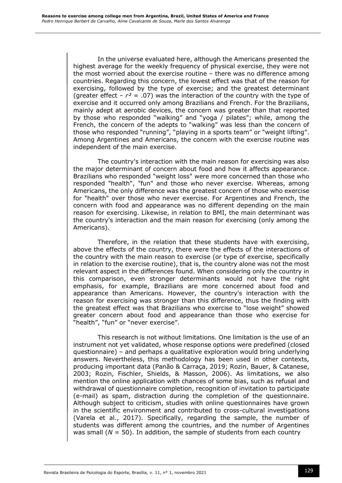In the universe evaluated here, although the Americans presented the highest average for the weekly frequency of physical exercise, they were not the most worried about the exercise routine – there was no difference among countries. Regarding this concern, the lowest effect was that of the reason for exercising, followed by the type of exercise; and the greatest determinant (greater effect  $-r^2 = .07$ ) was the interaction of the country with the type of exercise and it occurred only among Brazilians and French. For the Brazilians, mainly adept at aerobic devices, the concern was greater than that reported by those who responded "walking" and "yoga / pilates"; while, among the French, the concern of the adepts to "walking" was less than the concern of those who responded "running", "playing in a sports team" or "weight lifting". Among Argentines and Americans, the concern with the exercise routine was independent of the main exercise.

The country's interaction with the main reason for exercising was also the major determinant of concern about food and how it affects appearance. Brazilians who responded "weight loss" were more concerned than those who responded "health", "fun" and those who never exercise. Whereas, among Americans, the only difference was the greatest concern of those who exercise for "health" over those who never exercise. For Argentines and French, the concern with food and appearance was no different depending on the main reason for exercising. Likewise, in relation to BMI, the main determinant was the country's interaction and the main reason for exercising (only among the Americans).

Therefore, in the relation that these students have with exercising, above the effects of the country, there were the effects of the interactions of the country with the main reason to exercise (or type of exercise, specifically in relation to the exercise routine), that is, the country alone was not the most relevant aspect in the differences found. When considering only the country in this comparison, even stronger determinants would not have the right emphasis, for example, Brazilians are more concerned about food and appearance than Americans. However, the country's interaction with the reason for exercising was stronger than this difference, thus the finding with the greatest effect was that Brazilians who exercise to "lose weight" showed greater concern about food and appearance than those who exercise for "health", "fun" or "never exercise".

This research is not without limitations. One limitation is the use of an instrument not yet validated, whose response options were predefined (closed questionnaire) – and perhaps a qualitative exploration would bring underlying answers. Nevertheless, this methodology has been used in other contexts, producing important data (Panão & Carraça, 2019; Rozin, Bauer, & Catanese, 2003; Rozin, Fischler, Shields, & Masson, 2006). As limitations, we also mention the online application with chances of some bias, such as refusal and withdrawal of questionnaire completion, recognition of invitation to participate (e-mail) as spam, distraction during the completion of the questionnaire. Although subject to criticism, studies with online questionnaires have grown in the scientific environment and contributed to cross-cultural investigations (Varela et al., 2017). Specifically, regarding the sample, the number of students was different among the countries, and the number of Argentines was small  $(N = 50)$ . In addition, the sample of students from each country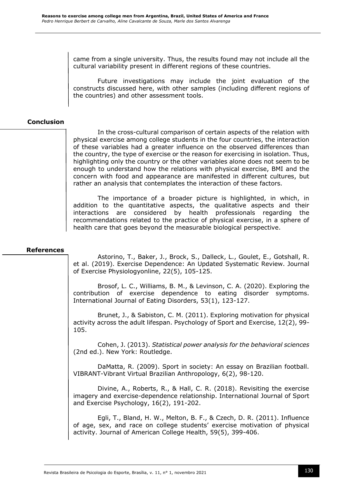came from a single university. Thus, the results found may not include all the cultural variability present in different regions of these countries.

Future investigations may include the joint evaluation of the constructs discussed here, with other samples (including different regions of the countries) and other assessment tools.

## **Conclusion**

In the cross-cultural comparison of certain aspects of the relation with physical exercise among college students in the four countries, the interaction of these variables had a greater influence on the observed differences than the country, the type of exercise or the reason for exercising in isolation. Thus, highlighting only the country or the other variables alone does not seem to be enough to understand how the relations with physical exercise, BMI and the concern with food and appearance are manifested in different cultures, but rather an analysis that contemplates the interaction of these factors.

The importance of a broader picture is highlighted, in which, in addition to the quantitative aspects, the qualitative aspects and their interactions are considered by health professionals regarding the recommendations related to the practice of physical exercise, in a sphere of health care that goes beyond the measurable biological perspective.

## **References**

Astorino, T., Baker, J., Brock, S., Dalleck, L., Goulet, E., Gotshall, R. et al. (2019). Exercise Dependence: An Updated Systematic Review. Journal of Exercise Physiologyonline, 22(5), 105-125.

Brosof, L. C., Williams, B. M., & Levinson, C. A. (2020). Exploring the contribution of exercise dependence to eating disorder symptoms. International Journal of Eating Disorders, 53(1), 123-127.

Brunet, J., & Sabiston, C. M. (2011). Exploring motivation for physical activity across the adult lifespan. Psychology of Sport and Exercise, 12(2), 99- 105.

Cohen, J. (2013). *Statistical power analysis for the behavioral sciences* (2nd ed.). New York: Routledge.

DaMatta, R. (2009). Sport in society: An essay on Brazilian football. VIBRANT-Vibrant Virtual Brazilian Anthropology, 6(2), 98-120.

Divine, A., Roberts, R., & Hall, C. R. (2018). Revisiting the exercise imagery and exercise-dependence relationship. International Journal of Sport and Exercise Psychology, 16(2), 191-202.

Egli, T., Bland, H. W., Melton, B. F., & Czech, D. R. (2011). Influence of age, sex, and race on college students' exercise motivation of physical activity. Journal of American College Health, 59(5), 399-406.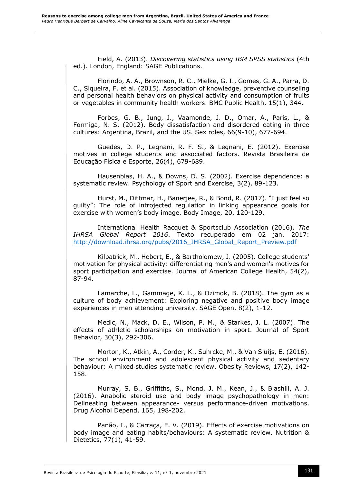Field, A. (2013). *Discovering statistics using IBM SPSS statistics* (4th ed.). London, England: SAGE Publications.

Florindo, A. A., Brownson, R. C., Mielke, G. I., Gomes, G. A., Parra, D. C., Siqueira, F. et al. (2015). Association of knowledge, preventive counseling and personal health behaviors on physical activity and consumption of fruits or vegetables in community health workers. BMC Public Health, 15(1), 344.

Forbes, G. B., Jung, J., Vaamonde, J. D., Omar, A., Paris, L., & Formiga, N. S. (2012). Body dissatisfaction and disordered eating in three cultures: Argentina, Brazil, and the US. Sex roles, 66(9-10), 677-694.

Guedes, D. P., Legnani, R. F. S., & Legnani, E. (2012). Exercise motives in college students and associated factors. Revista Brasileira de Educação Física e Esporte, 26(4), 679-689.

Hausenblas, H. A., & Downs, D. S. (2002). Exercise dependence: a systematic review. Psychology of Sport and Exercise, 3(2), 89-123.

Hurst, M., Dittmar, H., Banerjee, R., & Bond, R. (2017). "I just feel so guilty": The role of introjected regulation in linking appearance goals for exercise with women's body image. Body Image, 20, 120-129.

International Health Racquet & Sportsclub Association (2016). *The IHRSA Global Report 2016*. Texto recuperado em 02 jan. 2017: [http://download.ihrsa.org/pubs/2016\\_IHRSA\\_Global\\_Report\\_Preview.pdf](http://download.ihrsa.org/pubs/2016_IHRSA_Global_Report_Preview.pdf)

Kilpatrick, M., Hebert, E., & Bartholomew, J. (2005). College students' motivation for physical activity: differentiating men's and women's motives for sport participation and exercise. Journal of American College Health, 54(2), 87-94.

Lamarche, L., Gammage, K. L., & Ozimok, B. (2018). The gym as a culture of body achievement: Exploring negative and positive body image experiences in men attending university. SAGE Open, 8(2), 1-12.

Medic, N., Mack, D. E., Wilson, P. M., & Starkes, J. L. (2007). The effects of athletic scholarships on motivation in sport. Journal of Sport Behavior, 30(3), 292-306.

Morton, K., Atkin, A., Corder, K., Suhrcke, M., & Van Sluijs, E. (2016). The school environment and adolescent physical activity and sedentary behaviour: A mixed-studies systematic review. Obesity Reviews, 17(2), 142-158.

Murray, S. B., Griffiths, S., Mond, J. M., Kean, J., & Blashill, A. J. (2016). Anabolic steroid use and body image psychopathology in men: Delineating between appearance- versus performance-driven motivations. Drug Alcohol Depend, 165, 198-202.

Panão, I., & Carraça, E. V. (2019). Effects of exercise motivations on body image and eating habits/behaviours: A systematic review. Nutrition & Dietetics, 77(1), 41-59.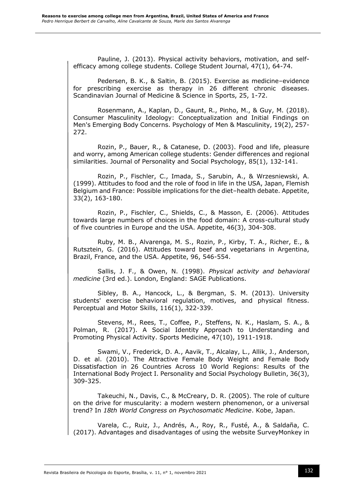Pauline, J. (2013). Physical activity behaviors, motivation, and selfefficacy among college students. College Student Journal, 47(1), 64-74.

Pedersen, B. K., & Saltin, B. (2015). Exercise as medicine–evidence for prescribing exercise as therapy in 26 different chronic diseases. Scandinavian Journal of Medicine & Science in Sports, 25, 1-72.

Rosenmann, A., Kaplan, D., Gaunt, R., Pinho, M., & Guy, M. (2018). Consumer Masculinity Ideology: Conceptualization and Initial Findings on Men's Emerging Body Concerns. Psychology of Men & Masculinity, 19(2), 257- 272.

Rozin, P., Bauer, R., & Catanese, D. (2003). Food and life, pleasure and worry, among American college students: Gender differences and regional similarities. Journal of Personality and Social Psychology, 85(1), 132-141.

Rozin, P., Fischler, C., Imada, S., Sarubin, A., & Wrzesniewski, A. (1999). Attitudes to food and the role of food in life in the USA, Japan, Flemish Belgium and France: Possible implications for the diet–health debate. Appetite, 33(2), 163-180.

Rozin, P., Fischler, C., Shields, C., & Masson, E. (2006). Attitudes towards large numbers of choices in the food domain: A cross-cultural study of five countries in Europe and the USA. Appetite, 46(3), 304-308.

Ruby, M. B., Alvarenga, M. S., Rozin, P., Kirby, T. A., Richer, E., & Rutsztein, G. (2016). Attitudes toward beef and vegetarians in Argentina, Brazil, France, and the USA. Appetite, 96, 546-554.

Sallis, J. F., & Owen, N. (1998). *Physical activity and behavioral medicine* (3rd ed.). London, England: SAGE Publications.

Sibley, B. A., Hancock, L., & Bergman, S. M. (2013). University students' exercise behavioral regulation, motives, and physical fitness. Perceptual and Motor Skills, 116(1), 322-339.

Stevens, M., Rees, T., Coffee, P., Steffens, N. K., Haslam, S. A., & Polman, R. (2017). A Social Identity Approach to Understanding and Promoting Physical Activity. Sports Medicine, 47(10), 1911-1918.

Swami, V., Frederick, D. A., Aavik, T., Alcalay, L., Allik, J., Anderson, D. et al. (2010). The Attractive Female Body Weight and Female Body Dissatisfaction in 26 Countries Across 10 World Regions: Results of the International Body Project I. Personality and Social Psychology Bulletin, 36(3), 309-325.

Takeuchi, N., Davis, C., & McCreary, D. R. (2005). The role of culture on the drive for muscularity: a modern western phenomenon, or a universal trend? In *18th World Congress on Psychosomatic Medicine*. Kobe, Japan.

Varela, C., Ruiz, J., Andrés, A., Roy, R., Fusté, A., & Saldaña, C. (2017). Advantages and disadvantages of using the website SurveyMonkey in